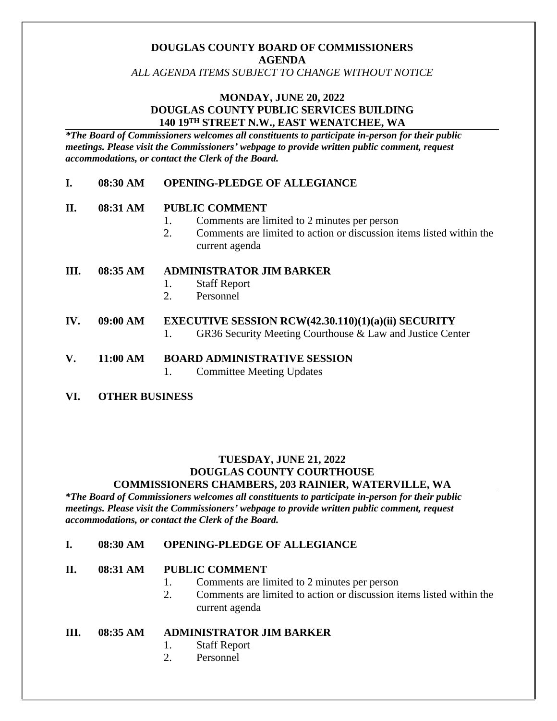# **DOUGLAS COUNTY BOARD OF COMMISSIONERS AGENDA**

*ALL AGENDA ITEMS SUBJECT TO CHANGE WITHOUT NOTICE*

## **MONDAY, JUNE 20, 2022 DOUGLAS COUNTY PUBLIC SERVICES BUILDING 140 19TH STREET N.W., EAST WENATCHEE, WA**

*\*The Board of Commissioners welcomes all constituents to participate in-person for their public meetings. Please visit the Commissioners' webpage to provide written public comment, request accommodations, or contact the Clerk of the Board.* 

### **I. 08:30 AM OPENING-PLEDGE OF ALLEGIANCE**

#### **II. 08:31 AM PUBLIC COMMENT**

- 1. Comments are limited to 2 minutes per person
- 2. Comments are limited to action or discussion items listed within the current agenda

#### **III. 08:35 AM ADMINISTRATOR JIM BARKER**

- 1. Staff Report
- 2. Personnel

#### **IV. 09:00 AM EXECUTIVE SESSION RCW(42.30.110)(1)(a)(ii) SECURITY**

1. GR36 Security Meeting Courthouse & Law and Justice Center

#### **V. 11:00 AM BOARD ADMINISTRATIVE SESSION**

- 1. Committee Meeting Updates
- **VI. OTHER BUSINESS**

#### **TUESDAY, JUNE 21, 2022 DOUGLAS COUNTY COURTHOUSE COMMISSIONERS CHAMBERS, 203 RAINIER, WATERVILLE, WA**

*\*The Board of Commissioners welcomes all constituents to participate in-person for their public meetings. Please visit the Commissioners' webpage to provide written public comment, request accommodations, or contact the Clerk of the Board.* 

#### **I. 08:30 AM OPENING-PLEDGE OF ALLEGIANCE**

#### **II. 08:31 AM PUBLIC COMMENT**

- 1. Comments are limited to 2 minutes per person
- 2. Comments are limited to action or discussion items listed within the current agenda

#### **III. 08:35 AM ADMINISTRATOR JIM BARKER**

- 1. Staff Report
- 2. Personnel